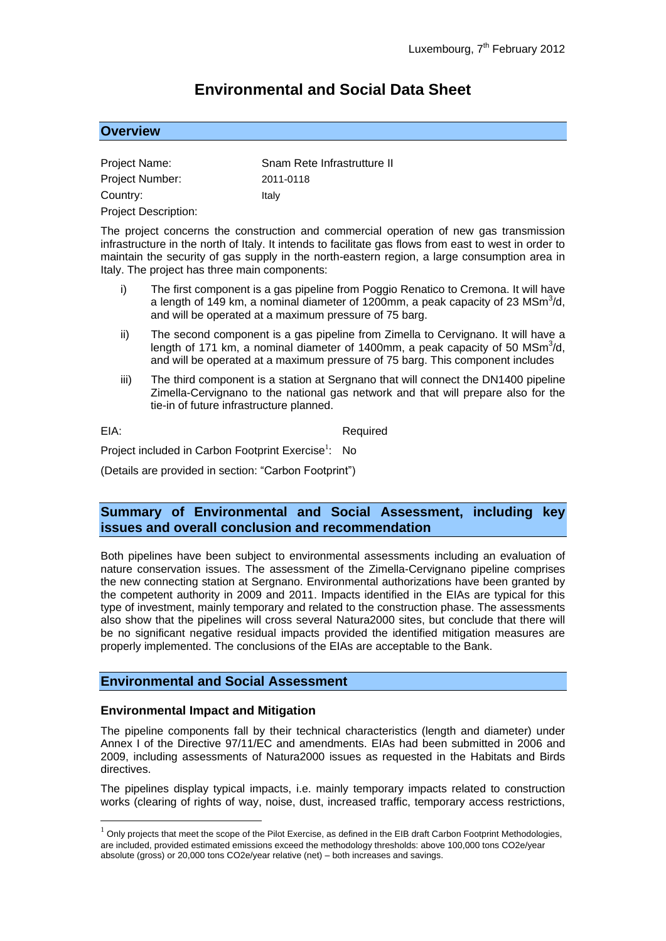# **Environmental and Social Data Sheet**

# **Overview**

| Project Name:               | Snam Rete Infrastrutture II |
|-----------------------------|-----------------------------|
| <b>Project Number:</b>      | 2011-0118                   |
| Country:                    | Italv                       |
| <b>Project Description:</b> |                             |

The project concerns the construction and commercial operation of new gas transmission infrastructure in the north of Italy. It intends to facilitate gas flows from east to west in order to maintain the security of gas supply in the north-eastern region, a large consumption area in Italy. The project has three main components:

- i) The first component is a gas pipeline from Poggio Renatico to Cremona. It will have a length of 149 km, a nominal diameter of 1200mm, a peak capacity of 23 MSm $3/$ d, and will be operated at a maximum pressure of 75 barg.
- ii) The second component is a gas pipeline from Zimella to Cervignano. It will have a length of 171 km, a nominal diameter of 1400mm, a peak capacity of 50 MSm $3/$ d, and will be operated at a maximum pressure of 75 barg. This component includes
- iii) The third component is a station at Sergnano that will connect the DN1400 pipeline Zimella-Cervignano to the national gas network and that will prepare also for the tie-in of future infrastructure planned.

<u>.</u>

EIA: Required

Project included in Carbon Footprint Exercise<sup>1</sup>: : No

(Details are provided in section: "Carbon Footprint")

# **Summary of Environmental and Social Assessment, including key issues and overall conclusion and recommendation**

Both pipelines have been subject to environmental assessments including an evaluation of nature conservation issues. The assessment of the Zimella-Cervignano pipeline comprises the new connecting station at Sergnano. Environmental authorizations have been granted by the competent authority in 2009 and 2011. Impacts identified in the EIAs are typical for this type of investment, mainly temporary and related to the construction phase. The assessments also show that the pipelines will cross several Natura2000 sites, but conclude that there will be no significant negative residual impacts provided the identified mitigation measures are properly implemented. The conclusions of the EIAs are acceptable to the Bank.

## **Environmental and Social Assessment**

## **Environmental Impact and Mitigation**

The pipeline components fall by their technical characteristics (length and diameter) under Annex I of the Directive 97/11/EC and amendments. EIAs had been submitted in 2006 and 2009, including assessments of Natura2000 issues as requested in the Habitats and Birds directives.

The pipelines display typical impacts, i.e. mainly temporary impacts related to construction works (clearing of rights of way, noise, dust, increased traffic, temporary access restrictions,

 $1$  Only projects that meet the scope of the Pilot Exercise, as defined in the EIB draft Carbon Footprint Methodologies, are included, provided estimated emissions exceed the methodology thresholds: above 100,000 tons CO2e/year absolute (gross) or 20,000 tons CO2e/year relative (net) – both increases and savings.